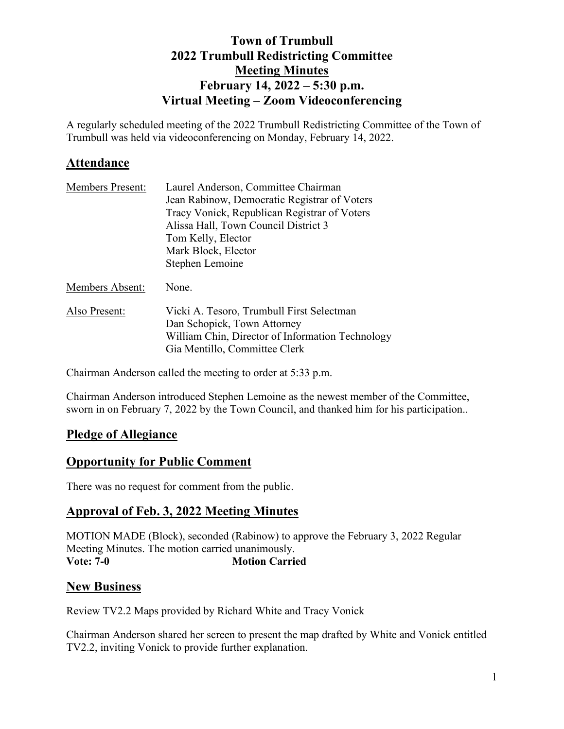## **Town of Trumbull 2022 Trumbull Redistricting Committee Meeting Minutes February 14, 2022 – 5:30 p.m. Virtual Meeting – Zoom Videoconferencing**

A regularly scheduled meeting of the 2022 Trumbull Redistricting Committee of the Town of Trumbull was held via videoconferencing on Monday, February 14, 2022.

## **Attendance**

| <b>Members Present:</b> | Laurel Anderson, Committee Chairman              |
|-------------------------|--------------------------------------------------|
|                         | Jean Rabinow, Democratic Registrar of Voters     |
|                         | Tracy Vonick, Republican Registrar of Voters     |
|                         | Alissa Hall, Town Council District 3             |
|                         | Tom Kelly, Elector                               |
|                         | Mark Block, Elector                              |
|                         | Stephen Lemoine                                  |
| <b>Members Absent:</b>  | None.                                            |
| Also Present:           | Vicki A. Tesoro, Trumbull First Selectman        |
|                         | Dan Schopick, Town Attorney                      |
|                         | William Chin, Director of Information Technology |
|                         | Gia Mentillo, Committee Clerk                    |

Chairman Anderson called the meeting to order at 5:33 p.m.

Chairman Anderson introduced Stephen Lemoine as the newest member of the Committee, sworn in on February 7, 2022 by the Town Council, and thanked him for his participation..

## **Pledge of Allegiance**

## **Opportunity for Public Comment**

There was no request for comment from the public.

## **Approval of Feb. 3, 2022 Meeting Minutes**

MOTION MADE (Block), seconded (Rabinow) to approve the February 3, 2022 Regular Meeting Minutes. The motion carried unanimously. **Vote: 7-0 Motion Carried** 

## **New Business**

### Review TV2.2 Maps provided by Richard White and Tracy Vonick

Chairman Anderson shared her screen to present the map drafted by White and Vonick entitled TV2.2, inviting Vonick to provide further explanation.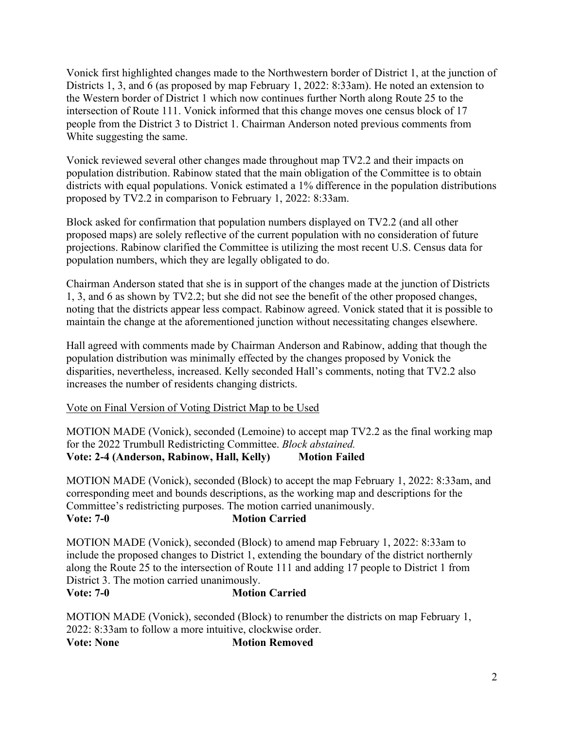Vonick first highlighted changes made to the Northwestern border of District 1, at the junction of Districts 1, 3, and 6 (as proposed by map February 1, 2022: 8:33am). He noted an extension to the Western border of District 1 which now continues further North along Route 25 to the intersection of Route 111. Vonick informed that this change moves one census block of 17 people from the District 3 to District 1. Chairman Anderson noted previous comments from White suggesting the same.

Vonick reviewed several other changes made throughout map TV2.2 and their impacts on population distribution. Rabinow stated that the main obligation of the Committee is to obtain districts with equal populations. Vonick estimated a 1% difference in the population distributions proposed by TV2.2 in comparison to February 1, 2022: 8:33am.

Block asked for confirmation that population numbers displayed on TV2.2 (and all other proposed maps) are solely reflective of the current population with no consideration of future projections. Rabinow clarified the Committee is utilizing the most recent U.S. Census data for population numbers, which they are legally obligated to do.

Chairman Anderson stated that she is in support of the changes made at the junction of Districts 1, 3, and 6 as shown by TV2.2; but she did not see the benefit of the other proposed changes, noting that the districts appear less compact. Rabinow agreed. Vonick stated that it is possible to maintain the change at the aforementioned junction without necessitating changes elsewhere.

Hall agreed with comments made by Chairman Anderson and Rabinow, adding that though the population distribution was minimally effected by the changes proposed by Vonick the disparities, nevertheless, increased. Kelly seconded Hall's comments, noting that TV2.2 also increases the number of residents changing districts.

### Vote on Final Version of Voting District Map to be Used

MOTION MADE (Vonick), seconded (Lemoine) to accept map TV2.2 as the final working map for the 2022 Trumbull Redistricting Committee. *Block abstained.* Vote: 2-4 (Anderson, Rabinow, Hall, Kelly) Motion Failed

MOTION MADE (Vonick), seconded (Block) to accept the map February 1, 2022: 8:33am, and corresponding meet and bounds descriptions, as the working map and descriptions for the Committee's redistricting purposes. The motion carried unanimously. **Vote: 7-0 Motion Carried** 

MOTION MADE (Vonick), seconded (Block) to amend map February 1, 2022: 8:33am to include the proposed changes to District 1, extending the boundary of the district northernly along the Route 25 to the intersection of Route 111 and adding 17 people to District 1 from District 3. The motion carried unanimously.

#### **Vote: 7-0 Motion Carried**

MOTION MADE (Vonick), seconded (Block) to renumber the districts on map February 1, 2022: 8:33am to follow a more intuitive, clockwise order.

**Vote: None Motion Removed**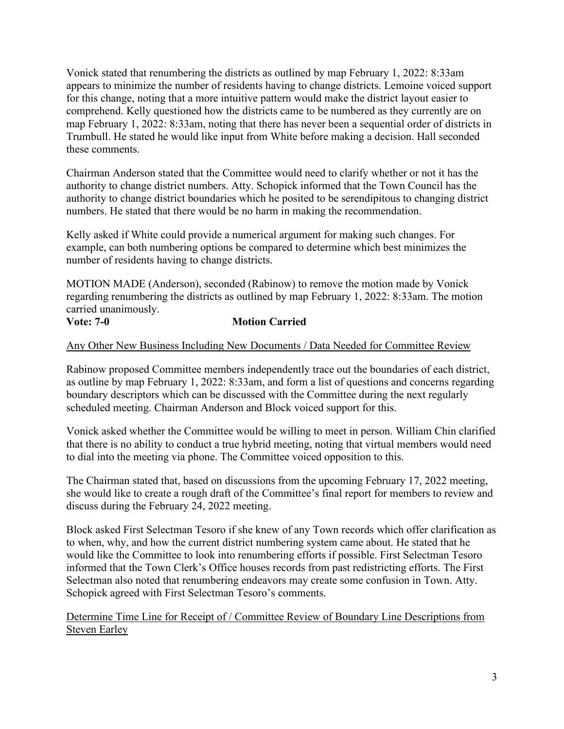Vonick stated that renumbering the districts as outlined by map February 1, 2022: 8:33am appears to minimize the number of residents having to change districts. Lemoine voiced support for this change, noting that a more intuitive pattern would make the district layout easier to comprehend. Kelly questioned how the districts came to be numbered as they currently are on map February 1, 2022: 8:33am, noting that there has never been a sequential order of districts in Trumbull. He stated he would like input from White before making a decision. Hall seconded these comments.

Chairman Anderson stated that the Committee would need to clarify whether or not it has the authority to change district numbers. Atty. Schopick informed that the Town Council has the authority to change district boundaries which he posited to be serendipitous to changing district numbers. He stated that there would be no harm in making the recommendation.

Kelly asked if White could provide a numerical argument for making such changes. For example, can both numbering options be compared to determine which best minimizes the number of residents having to change districts.

MOTION MADE (Anderson), seconded (Rabinow) to remove the motion made by Vonick regarding renumbering the districts as outlined by map February 1, 2022: 8:33am. The motion carried unanimously.

### **Vote: 7-0 Motion Carried**

Any Other New Business Including New Documents / Data Needed for Committee Review

Rabinow proposed Committee members independently trace out the boundaries of each district, as outline by map February 1, 2022: 8:33am, and form a list of questions and concerns regarding boundary descriptors which can be discussed with the Committee during the next regularly scheduled meeting. Chairman Anderson and Block voiced support for this.

Vonick asked whether the Committee would be willing to meet in person. William Chin clarified that there is no ability to conduct a true hybrid meeting, noting that virtual members would need to dial into the meeting via phone. The Committee voiced opposition to this.

The Chairman stated that, based on discussions from the upcoming February 17, 2022 meeting, she would like to create a rough draft of the Committee's final report for members to review and discuss during the February 24, 2022 meeting.

Block asked First Selectman Tesoro if she knew of any Town records which offer clarification as to when, why, and how the current district numbering system came about. He stated that he would like the Committee to look into renumbering efforts if possible. First Selectman Tesoro informed that the Town Clerk's Office houses records from past redistricting efforts. The First Selectman also noted that renumbering endeavors may create some confusion in Town. Atty. Schopick agreed with First Selectman Tesoro's comments.

Determine Time Line for Receipt of / Committee Review of Boundary Line Descriptions from Steven Earley